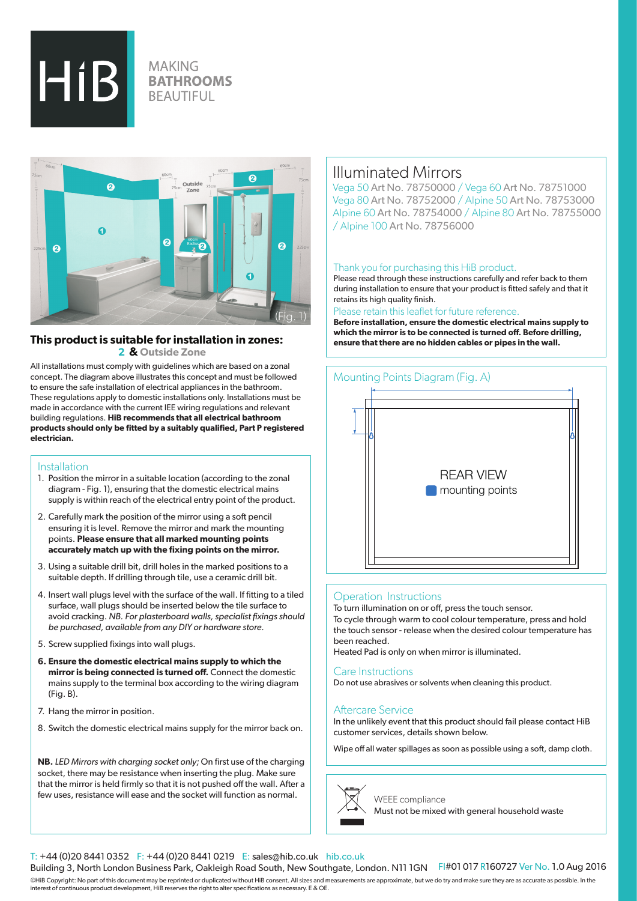

# **MAKING BATHROOMS BEAUTIFUL**



# **This product is suitable for installation in zones:**

 **2 & Outside Zone**

All installations must comply with guidelines which are based on a zonal concept. The diagram above illustrates this concept and must be followed to ensure the safe installation of electrical appliances in the bathroom. These regulations apply to domestic installations only. Installations must be made in accordance with the current IEE wiring regulations and relevant building regulations. **HiB recommends that all electrical bathroom products should only be fitted by a suitably qualified, Part P registered electrician.**

#### Installation

- 1. Position the mirror in a suitable location (according to the zonal diagram - Fig. 1), ensuring that the domestic electrical mains supply is within reach of the electrical entry point of the product.
- 2. Carefully mark the position of the mirror using a soft pencil ensuring it is level. Remove the mirror and mark the mounting points. **Please ensure that all marked mounting points accurately match up with the fixing points on the mirror.**
- 3. Using a suitable drill bit, drill holes in the marked positions to a suitable depth. If drilling through tile, use a ceramic drill bit.
- 4. Insert wall plugs level with the surface of the wall. If fitting to a tiled surface, wall plugs should be inserted below the tile surface to avoid cracking. *NB. For plasterboard walls, specialist fixings should be purchased, available from any DIY or hardware store.*
- 5. Screw supplied fixings into wall plugs.
- **6. Ensure the domestic electrical mains supply to which the mirror is being connected is turned off.** Connect the domestic mains supply to the terminal box according to the wiring diagram (Fig. B).
- 7. Hang the mirror in position.
- 8. Switch the domestic electrical mains supply for the mirror back on.

**NB.** *LED Mirrors with charging socket only;* On first use of the charging socket, there may be resistance when inserting the plug. Make sure that the mirror is held firmly so that it is not pushed off the wall. After a few uses, resistance will ease and the socket will function as normal.

## Illuminated Mirrors

Vega 50 Art No. 78750000 / Vega 60 Art No. 78751000 Vega 80 Art No. 78752000 / Alpine 50 Art No. 78753000 Alpine 60 Art No. 78754000 / Alpine 80 Art No. 78755000 / Alpine 100 Art No. 78756000

#### Thank you for purchasing this HiB product.

Please read through these instructions carefully and refer back to them during installation to ensure that your product is fitted safely and that it retains its high quality finish.

#### Please retain this leaflet for future reference.

**Before installation, ensure the domestic electrical mains supply to which the mirror is to be connected is turned off. Before drilling, ensure that there are no hidden cables or pipes in the wall.**

### Mounting Points Diagram (Fig. A)



#### Operation Instructions

To turn illumination on or off, press the touch sensor. To cycle through warm to cool colour temperature, press and hold the touch sensor - release when the desired colour temperature has been reached.

Heated Pad is only on when mirror is illuminated.

#### Care Instructions

Do not use abrasives or solvents when cleaning this product.

#### Aftercare Service

In the unlikely event that this product should fail please contact HiB customer services, details shown below.

Wipe off all water spillages as soon as possible using a soft, damp cloth.



WEEE compliance Must not be mixed with general household waste

#### T: +44 (0)20 8441 0352 F: +44 (0)20 8441 0219 E: sales@hib.co.uk hib.co.uk

Building 3, North London Business Park, Oakleigh Road South, New Southgate, London. N11 IGN Fl#01 017 R160727 Ver No. 1.0 Aug 2016 ©HiB Copyright: No part of this document may be reprinted or duplicated without HiB consent. All sizes and measurements are approximate, but we do try and make sure they are as accurate as possible. In the interest of continuous product development, HiB reserves the right to alter specifications as necessary. E & OE.